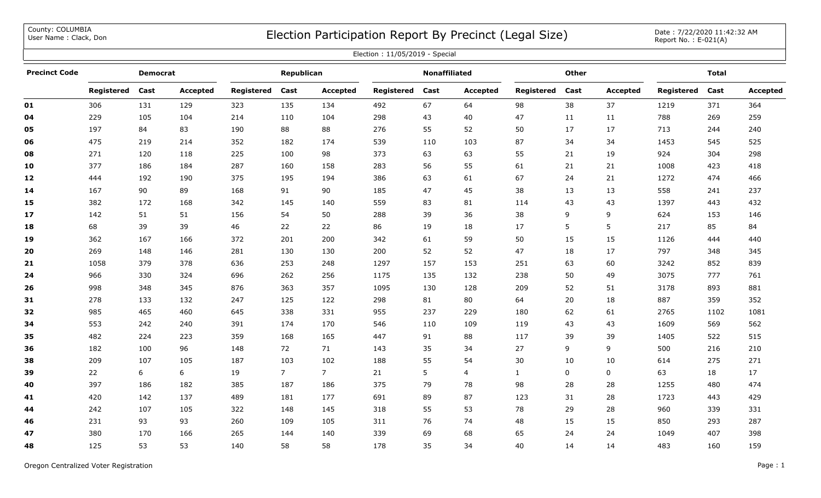County: COLUMBIA<br>User Name: Clack, Don

## COUNTY: COLUMBIA<br>User Name : Clack, Don Date : 7/22/2020 11:42:32 AM

| Election: 11/05/2019 - Special |            |                 |                 |            |             |                |            |                      |                 |              |              |                 |                   |              |          |
|--------------------------------|------------|-----------------|-----------------|------------|-------------|----------------|------------|----------------------|-----------------|--------------|--------------|-----------------|-------------------|--------------|----------|
| <b>Precinct Code</b>           |            | <b>Democrat</b> |                 |            | Republican  |                |            | <b>Nonaffiliated</b> |                 |              | <b>Other</b> |                 |                   | <b>Total</b> |          |
|                                | Registered | Cast            | <b>Accepted</b> | Registered | Cast        | Accepted       | Registered | Cast                 | <b>Accepted</b> | Registered   | Cast         | <b>Accepted</b> | <b>Registered</b> | Cast         | Accepted |
| 01                             | 306        | 131             | 129             | 323        | 135         | 134            | 492        | 67                   | 64              | 98           | 38           | 37              | 1219              | 371          | 364      |
| 04                             | 229        | 105             | 104             | 214        | 110         | 104            | 298        | 43                   | 40              | 47           | 11           | 11              | 788               | 269          | 259      |
| 05                             | 197        | 84              | 83              | 190        | 88          | 88             | 276        | 55                   | 52              | 50           | 17           | 17              | 713               | 244          | 240      |
| 06                             | 475        | 219             | 214             | 352        | 182         | 174            | 539        | 110                  | 103             | 87           | 34           | 34              | 1453              | 545          | 525      |
| 08                             | 271        | 120             | 118             | 225        | 100         | 98             | 373        | 63                   | 63              | 55           | 21           | 19              | 924               | 304          | 298      |
| 10                             | 377        | 186             | 184             | 287        | 160         | 158            | 283        | 56                   | 55              | 61           | 21           | 21              | 1008              | 423          | 418      |
| 12                             | 444        | 192             | 190             | 375        | 195         | 194            | 386        | 63                   | 61              | 67           | 24           | 21              | 1272              | 474          | 466      |
| 14                             | 167        | 90              | 89              | 168        | 91          | 90             | 185        | 47                   | 45              | 38           | 13           | 13              | 558               | 241          | 237      |
| 15                             | 382        | 172             | 168             | 342        | 145         | 140            | 559        | 83                   | 81              | 114          | 43           | 43              | 1397              | 443          | 432      |
| 17                             | 142        | 51              | 51              | 156        | 54          | 50             | 288        | 39                   | 36              | 38           | 9            | 9               | 624               | 153          | 146      |
| 18                             | 68         | 39              | 39              | 46         | 22          | 22             | 86         | 19                   | 18              | 17           | 5            | 5               | 217               | 85           | 84       |
| 19                             | 362        | 167             | 166             | 372        | 201         | 200            | 342        | 61                   | 59              | 50           | 15           | 15              | 1126              | 444          | 440      |
| 20                             | 269        | 148             | 146             | 281        | 130         | 130            | 200        | 52                   | 52              | 47           | 18           | 17              | 797               | 348          | 345      |
| 21                             | 1058       | 379             | 378             | 636        | 253         | 248            | 1297       | 157                  | 153             | 251          | 63           | 60              | 3242              | 852          | 839      |
| 24                             | 966        | 330             | 324             | 696        | 262         | 256            | 1175       | 135                  | 132             | 238          | 50           | 49              | 3075              | 777          | 761      |
| 26                             | 998        | 348             | 345             | 876        | 363         | 357            | 1095       | 130                  | 128             | 209          | 52           | 51              | 3178              | 893          | 881      |
| 31                             | 278        | 133             | 132             | 247        | 125         | 122            | 298        | 81                   | 80              | 64           | 20           | 18              | 887               | 359          | 352      |
| 32                             | 985        | 465             | 460             | 645        | 338         | 331            | 955        | 237                  | 229             | 180          | 62           | 61              | 2765              | 1102         | 1081     |
| 34                             | 553        | 242             | 240             | 391        | 174         | 170            | 546        | 110                  | 109             | 119          | 43           | 43              | 1609              | 569          | 562      |
| 35                             | 482        | 224             | 223             | 359        | 168         | 165            | 447        | 91                   | 88              | 117          | 39           | 39              | 1405              | 522          | 515      |
| 36                             | 182        | 100             | 96              | 148        | 72          | 71             | 143        | 35                   | 34              | 27           | 9            | 9               | 500               | 216          | 210      |
| 38                             | 209        | 107             | 105             | 187        | 103         | 102            | 188        | 55                   | 54              | 30           | 10           | 10              | 614               | 275          | 271      |
| 39                             | 22         | 6               | 6               | 19         | $7^{\circ}$ | $\overline{7}$ | 21         | 5                    | $\overline{4}$  | $\mathbf{1}$ | 0            | $\mathbf 0$     | 63                | 18           | 17       |
| 40                             | 397        | 186             | 182             | 385        | 187         | 186            | 375        | 79                   | 78              | 98           | 28           | 28              | 1255              | 480          | 474      |
| 41                             | 420        | 142             | 137             | 489        | 181         | 177            | 691        | 89                   | 87              | 123          | 31           | 28              | 1723              | 443          | 429      |
| 44                             | 242        | 107             | 105             | 322        | 148         | 145            | 318        | 55                   | 53              | 78           | 29           | 28              | 960               | 339          | 331      |
| 46                             | 231        | 93              | 93              | 260        | 109         | 105            | 311        | 76                   | 74              | 48           | 15           | 15              | 850               | 293          | 287      |
| 47                             | 380        | 170             | 166             | 265        | 144         | 140            | 339        | 69                   | 68              | 65           | 24           | 24              | 1049              | 407          | 398      |
| 48                             | 125        | 53              | 53              | 140        | 58          | 58             | 178        | 35                   | 34              | 40           | 14           | 14              | 483               | 160          | 159      |